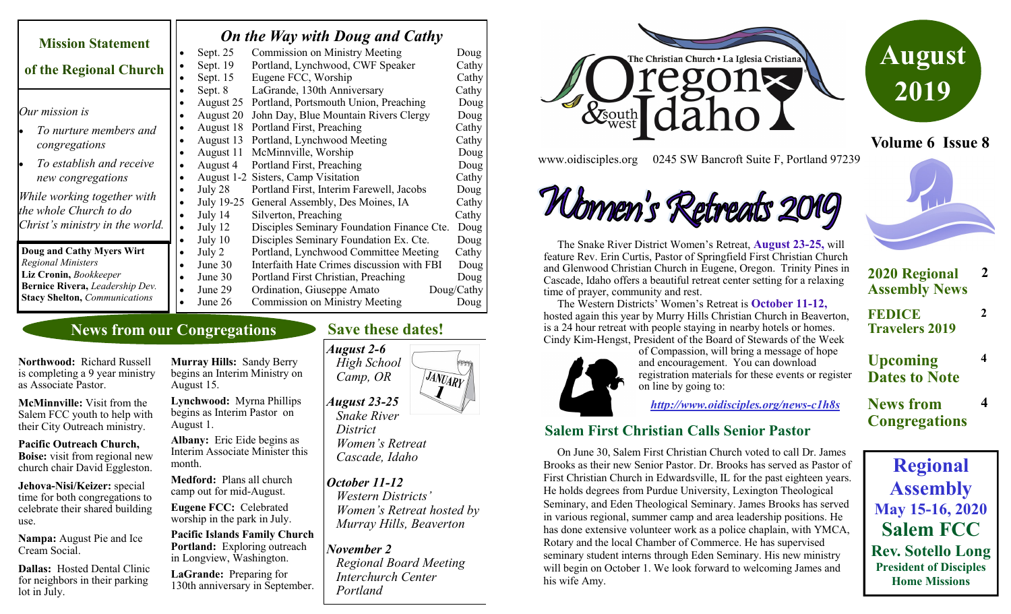| <b>Mission Statement</b>             |           | On the Way with Doug and Cathy |                                            |            |  |
|--------------------------------------|-----------|--------------------------------|--------------------------------------------|------------|--|
|                                      |           | Sept. 25                       | <b>Commission on Ministry Meeting</b>      | Doug       |  |
| of the Regional Church               |           | Sept. $19$                     | Portland, Lynchwood, CWF Speaker           | Cathy      |  |
|                                      | $\bullet$ | Sept. 15                       | Eugene FCC, Worship                        | Cathy      |  |
|                                      |           | Sept. 8                        | LaGrande, 130th Anniversary                | Cathy      |  |
|                                      |           | August 25                      | Portland, Portsmouth Union, Preaching      | Doug       |  |
| Our mission is                       |           | August 20                      | John Day, Blue Mountain Rivers Clergy      | Doug       |  |
| To nurture members and               |           | August 18                      | Portland First, Preaching                  | Cathy      |  |
| congregations                        |           | August 13                      | Portland, Lynchwood Meeting                | Cathy      |  |
|                                      |           | August 11                      | McMinnville, Worship                       | Doug       |  |
| To establish and receive             |           | August 4                       | Portland First, Preaching                  | Doug       |  |
| new congregations                    |           |                                | August 1-2 Sisters, Camp Visitation        | Cathy      |  |
| While working together with          |           | July 28                        | Portland First, Interim Farewell, Jacobs   | Doug       |  |
|                                      | $\bullet$ | July 19-25                     | General Assembly, Des Moines, IA           | Cathy      |  |
| the whole Church to do               | $\bullet$ | July 14                        | Silverton, Preaching                       | Cathy      |  |
| Christ's ministry in the world.      | $\bullet$ | July 12                        | Disciples Seminary Foundation Finance Cte. | Doug       |  |
|                                      |           | July 10                        | Disciples Seminary Foundation Ex. Cte.     | Doug       |  |
| Doug and Cathy Myers Wirt            |           | July 2                         | Portland, Lynchwood Committee Meeting      | Cathy      |  |
| <b>Regional Ministers</b>            |           | June 30                        | Interfaith Hate Crimes discussion with FBI | Doug       |  |
| Liz Cronin, Bookkeeper               |           | June 30                        | Portland First Christian, Preaching        | Doug       |  |
| Bernice Rivera, Leadership Dev.      |           | June 29                        | Ordination, Giuseppe Amato                 | Doug/Cathy |  |
| <b>Stacy Shelton, Communications</b> |           | June 26                        | Commission on Ministry Meeting             | Doug       |  |

## **News from our Congregations**

**Northwood:** Richard Russell is completing a 9 year ministry as Associate Pastor.

**McMinnville:** Visit from the Salem FCC youth to help with their City Outreach ministry.

**Pacific Outreach Church, Boise:** visit from regional new church chair David Eggleston.

**Jehova-Nisi/Keizer:** special time for both congregations to celebrate their shared building use.

**Nampa:** August Pie and Ice Cream Social.

**Dallas:** Hosted Dental Clinic for neighbors in their parking lot in July.

**Murray Hills:** Sandy Berry begins an Interim Ministry on August 15.

**Lynchwood:** Myrna Phillips begins as Interim Pastor on August 1.

**Albany:** Eric Eide begins as Interim Associate Minister this month.

**Medford:** Plans all church camp out for mid-August.

**Eugene FCC:** Celebrated worship in the park in July.

**Pacific Islands Family Church Portland:** Exploring outreach in Longview, Washington.

**LaGrande:** Preparing for 130th anniversary in September.

### **Save these dates!**

*August 2-6*

 *High School*  JANUARY  *Camp, OR August 23-25 Snake River District* 

 *Women's Retreat Cascade, Idaho*

#### *October 11-12*

 *Western Districts' Women's Retreat hosted by Murray Hills, Beaverton*

*November 2*

 *Regional Board Meeting Interchurch Center Portland*





**Volume 6 Issue 8**

www.oidisciples.org 0245 SW Bancroft Suite F, Portland 97239

# Wonnen's Retreats 2019

 The Snake River District Women's Retreat, **August 23-25,** will feature Rev. Erin Curtis, Pastor of Springfield First Christian Church and Glenwood Christian Church in Eugene, Oregon. Trinity Pines in Cascade, Idaho offers a beautiful retreat center setting for a relaxing time of prayer, community and rest.

 The Western Districts' Women's Retreat is **October 11-12,**  hosted again this year by Murry Hills Christian Church in Beaverton, is a 24 hour retreat with people staying in nearby hotels or homes. Cindy Kim-Hengst, President of the Board of Stewards of the Week



of Compassion, will bring a message of hope and encouragement. You can download registration materials for these events or register on line by going to:

*[http://www.oidisciples.org/news](http://www.oidisciples.org/news-c1h8s)-c1h8s*

### **Salem First Christian Calls Senior Pastor**

 On June 30, Salem First Christian Church voted to call Dr. James Brooks as their new Senior Pastor. Dr. Brooks has served as Pastor of First Christian Church in Edwardsville, IL for the past eighteen years. He holds degrees from Purdue University, Lexington Theological Seminary, and Eden Theological Seminary. James Brooks has served in various regional, summer camp and area leadership positions. He has done extensive volunteer work as a police chaplain, with YMCA, Rotary and the local Chamber of Commerce. He has supervised seminary student interns through Eden Seminary. His new ministry will begin on October 1. We look forward to welcoming James and his wife Amy.

| <b>2020 Regional</b><br><b>Assembly News</b> | 2 |
|----------------------------------------------|---|

**2**

**4**

**FEDICE Travelers 2019**

**Upcoming Dates to Note**

**News from Congregations 4**

**Regional Assembly May 15-16, 2020 Salem FCC Rev. Sotello Long President of Disciples Home Missions**